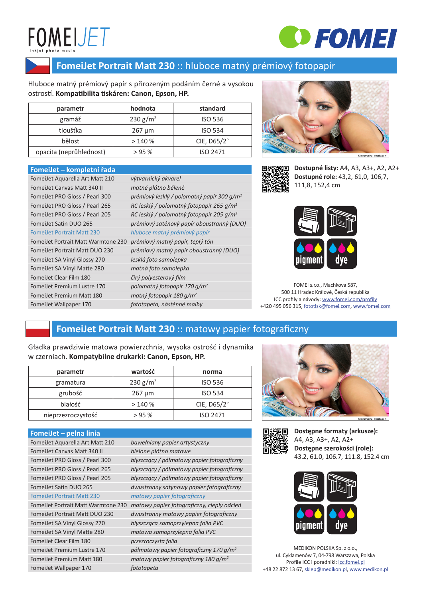# **FOMEIJET**



### **FomeiJet Portrait Matt 230** :: hluboce matný prémiový fotopapír

Hluboce matný prémiový papír s přirozeným podáním černé a vysokou ostrostí. **Kompatibilita tiskáren: Canon, Epson, HP.**

| parametr                | hodnota              | standard           |
|-------------------------|----------------------|--------------------|
| gramáž                  | 230 g/m <sup>2</sup> | <b>ISO 536</b>     |
| tloušťka                | $267 \mu m$          | <b>ISO 534</b>     |
| bělost                  | >140%                | CIE, $D65/2^\circ$ |
| opacita (neprůhlednost) | >95%                 | ISO 2471           |

#### **FomeiJet ̶ kompletní řada**

| FomeiJet Aquarella Art Matt 210     | výtvarnický akvarel                                  |
|-------------------------------------|------------------------------------------------------|
| <b>FomeiJet Canvas Matt 340 II</b>  | matné plátno bělené                                  |
| FomeiJet PRO Gloss / Pearl 300      | prémiový lesklý / polomatný papír 300 $q/m^2$        |
| FomeiJet PRO Gloss / Pearl 265      | RC lesklý / polomatný fotopapír 265 g/m <sup>2</sup> |
| FomeiJet PRO Gloss / Pearl 205      | RC lesklý / polomatný fotopapír 205 g/m <sup>2</sup> |
| FomeiJet Satin DUO 265              | prémiový saténový papír oboustranný (DUO)            |
| <b>FomeiJet Portrait Matt 230</b>   | hluboce matný prémiový papír                         |
| FomeiJet Portrait Matt Warmtone 230 | prémiový matný papír, teplý tón                      |
| FomeiJet Portrait Matt DUO 230      | prémiový matný papír oboustranný (DUO)               |
| FomeiJet SA Vinyl Glossy 270        | lesklá foto samolepka                                |
| FomeiJet SA Vinyl Matte 280         | matná foto samolepka                                 |
| FomeiJet Clear Film 180             | čirý polyesterový film                               |
| FomeiJet Premium Lustre 170         | polomatný fotopapír 170 g/m <sup>2</sup>             |
| FomeiJet Premium Matt 180           | matný fotopapír 180 g/m <sup>2</sup>                 |
| FomeiJet Wallpaper 170              | fototapeta, nástěnné malby                           |





**Dostupné listy:** A4, A3, A3+, A2, A2+ **Dostupné role:** 43,2, 61,0, 106,7, 111,8, 152,4 cm



FOMEI s.r.o., Machkova 587, 500 11 Hradec Králové, Česká republika ICC profily a návody: www.fomei.com/profily +420 495 056 315, fototisk@fomei.com, www.fomei.com

### **FomeiJet Portrait Matt 230** :: matowy papier fotograficzny

Gładka prawdziwie matowa powierzchnia, wysoka ostrość i dynamika w czerniach. **Kompatybilne drukarki: Canon, Epson, HP.**

| parametr           | wartość              | norma              |
|--------------------|----------------------|--------------------|
| gramatura          | 230 g/m <sup>2</sup> | <b>ISO 536</b>     |
| grubość            | $267 \mu m$          | <b>ISO 534</b>     |
| białość            | >140%                | CIE, $D65/2^\circ$ |
| nieprzezroczystość | >95%                 | ISO 2471           |

#### **FomeiJet ̶ pełna linia**

| __________<br>_________             |                                                     |
|-------------------------------------|-----------------------------------------------------|
| FomeiJet Aquarella Art Matt 210     | bawełniany papier artystyczny                       |
| <b>FomeiJet Canvas Matt 340 II</b>  | bielone płótno matowe                               |
| FomeiJet PRO Gloss / Pearl 300      | błyszczący / półmatowy papier fotograficzny         |
| FomeiJet PRO Gloss / Pearl 265      | błyszczący / półmatowy papier fotograficzny         |
| FomeiJet PRO Gloss / Pearl 205      | błyszczący / półmatowy papier fotograficzny         |
| FomeiJet Satin DUO 265              | dwustronny satynowy papier fotograficzny            |
| <b>Fomeilet Portrait Matt 230</b>   | matowy papier fotograficzny                         |
| FomeiJet Portrait Matt Warmtone 230 | matowy papier fotograficzny, ciepły odcień          |
| FomeiJet Portrait Matt DUO 230      | dwustronny matowy papier fotograficzny              |
| FomeiJet SA Vinyl Glossy 270        | błyszcząca samoprzylepna folia PVC                  |
| FomeiJet SA Vinyl Matte 280         | matowa samoprzylepna folia PVC                      |
| FomeiJet Clear Film 180             | przezroczysta folia                                 |
| FomeiJet Premium Lustre 170         | półmatowy papier fotograficzny 170 g/m <sup>2</sup> |
| FomeiJet Premium Matt 180           | matowy papier fotograficzny 180 g/m <sup>2</sup>    |
| FomeiJet Wallpaper 170              | fototapeta                                          |





**Dostępne formaty (arkusze):**  A4, A3, A3+, A2, A2+ **Dostępne szerokości (role):**  43.2, 61.0, 106.7, 111.8, 152.4 cm



MEDIKON POLSKA Sp. z o.o., ul. Cyklamenów 7, 04-798 Warszawa, Polska Profile ICC i poradniki: icc.fomei.pl +48 22 872 13 67, sklep@medikon.pl, www.medikon.pl